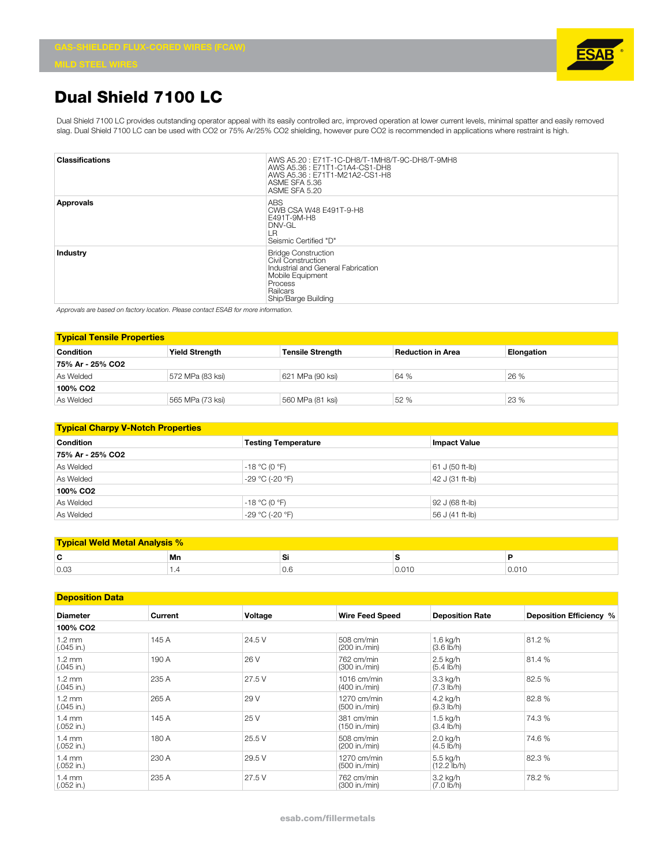

## **Dual Shield 7100 LC**

Dual Shield 7100 LC provides outstanding operator appeal with its easily controlled arc, improved operation at lower current levels, minimal spatter and easily removed slag. Dual Shield 7100 LC can be used with CO2 or 75% Ar/25% CO2 shielding, however pure CO2 is recommended in applications where restraint is high.

| <b>Classifications</b> | AWS A5.20: E71T-1C-DH8/T-1MH8/T-9C-DH8/T-9MH8<br>AWS A5.36: E71T1-C1A4-CS1-DH8<br>AWS A5.36: E71T1-M21A2-CS1-H8<br>ASME SFA 5.36<br>ASME SFA 5.20        |
|------------------------|----------------------------------------------------------------------------------------------------------------------------------------------------------|
| Approvals              | <b>ABS</b><br>CWB CSA W48 E491T-9-H8<br>E491T-9M-H8<br>DNV-GL<br>LR<br>Seismic Certified "D"                                                             |
| Industry               | <b>Bridge Construction</b><br>Civil Construction<br>Industrial and General Fabrication<br>Mobile Equipment<br>Process<br>Railcars<br>Ship/Barge Building |

*Approvals are based on factory location. Please contact ESAB for more information.*

| <b>Typical Tensile Properties</b> |                       |                         |                   |            |  |  |
|-----------------------------------|-----------------------|-------------------------|-------------------|------------|--|--|
| <b>Condition</b>                  | <b>Yield Strength</b> | <b>Tensile Strength</b> | Reduction in Area | Elongation |  |  |
| 75% Ar - 25% CO2                  |                       |                         |                   |            |  |  |
| As Welded                         | 572 MPa (83 ksi)      | 621 MPa (90 ksi)        | 64 %              | 26 %       |  |  |
| 100% CO <sub>2</sub>              |                       |                         |                   |            |  |  |
| As Welded                         | 565 MPa (73 ksi)      | 560 MPa (81 ksi)        | 52 %              | 23 %       |  |  |

| <b>Typical Charpy V-Notch Properties</b> |                            |                     |  |  |  |
|------------------------------------------|----------------------------|---------------------|--|--|--|
| <b>Condition</b>                         | <b>Testing Temperature</b> | <b>Impact Value</b> |  |  |  |
| 75% Ar - 25% CO2                         |                            |                     |  |  |  |
| As Welded                                | $-18 °C$ (0 °F)            | 61 J (50 ft-lb)     |  |  |  |
| As Welded                                | -29 °C (-20 °F)            | $ 42 J (31 ft-lb) $ |  |  |  |
| 100% CO <sub>2</sub>                     |                            |                     |  |  |  |
| As Welded                                | $-18 °C$ (0 °F)            | 92 J (68 ft-lb)     |  |  |  |
| As Welded                                | -29 °C (-20 °F)            | 56 J (41 ft-lb)     |  |  |  |

| <b>Typical Weld Metal Analysis %</b> |    |     |       |       |  |
|--------------------------------------|----|-----|-------|-------|--|
| r<br>ъ.                              | Mn | ◡   |       |       |  |
| 0.03                                 |    | v.v | 0.01C | 0.01C |  |

| <b>Deposition Data</b>           |         |         |                                |                                    |                         |
|----------------------------------|---------|---------|--------------------------------|------------------------------------|-------------------------|
| <b>Diameter</b>                  | Current | Voltage | <b>Wire Feed Speed</b>         | <b>Deposition Rate</b>             | Deposition Efficiency % |
| 100% CO <sub>2</sub>             |         |         |                                |                                    |                         |
| $1.2 \text{ mm}$<br>$(.045$ in.) | 145 A   | 24.5 V  | 508 cm/min<br>(200 in./min)    | $1.6$ kg/h<br>$(3.6 \, lb/h)$      | 81.2 %                  |
| $1.2 \text{ mm}$<br>$(.045$ in.) | 190 A   | 26 V    | 762 cm/min<br>(300 in./min)    | 2.5 kg/h<br>$(5.4$ lb/h)           | 81.4 %                  |
| $1.2 \text{ mm}$<br>$(.045$ in.) | 235 A   | 27.5 V  | $1016$ cm/min<br>(400 in./min) | 3.3 kg/h<br>$(7.3 \, lb/h)$        | 82.5 %                  |
| $1.2 \text{ mm}$<br>$(.045$ in.) | 265 A   | 29 V    | $1270$ cm/min<br>(500 in./min) | 4.2 kg/h<br>$(9.3 \, \text{lb/h})$ | 82.8%                   |
| $1.4 \text{ mm}$<br>$(.052$ in.) | 145 A   | 25 V    | 381 cm/min<br>(150 in./min)    | 1.5 kg/h<br>$(3.4 \, lb/h)$        | 74.3 %                  |
| $1.4 \text{ mm}$<br>$(.052$ in.) | 180 A   | 25.5 V  | 508 cm/min<br>(200 in./min)    | 2.0 kg/h<br>$(4.5 \, lb/h)$        | 74.6 %                  |
| $1.4 \text{ mm}$<br>$(.052$ in.) | 230 A   | 29.5 V  | 1270 cm/min<br>(500 in./min)   | 5.5 kg/h<br>$(12.2 \text{ lb/h})$  | 82.3 %                  |
| $1.4 \text{ mm}$<br>$(.052$ in.) | 235 A   | 27.5 V  | 762 cm/min<br>(300 in./min)    | 3.2 kg/h<br>$(7.0 \, lb/h)$        | 78.2 %                  |